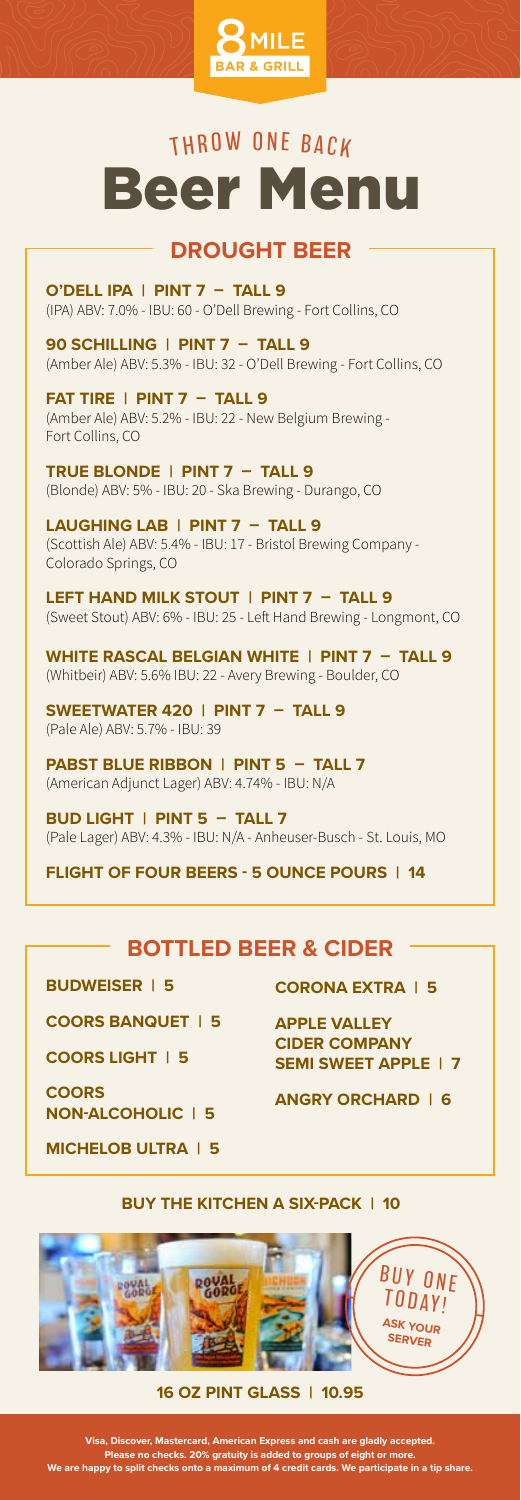

## THROW ONE BACK Beer Menu

### **DROUGHT BEER**

**O'DELL IPA | PINT 7 – TALL 9** (IPA) ABV: 7.0% - IBU: 60 - O'Dell Brewing - Fort Collins, CO

**90 SCHILLING | PINT 7 – TALL 9** (Amber Ale) ABV: 5.3% - IBU: 32 - O'Dell Brewing - Fort Collins, CO

**FAT TIRE | PINT 7 – TALL 9** (Amber Ale) ABV: 5.2% - IBU: 22 - New Belgium Brewing - Fort Collins, CO

**TRUE BLONDE | PINT 7 – TALL 9** (Blonde) ABV: 5% - IBU: 20 - Ska Brewing - Durango, CO

**LAUGHING LAB | PINT 7 – TALL 9** (Scottish Ale) ABV: 5.4% - IBU: 17 - Bristol Brewing Company - Colorado Springs, CO

**LEFT HAND MILK STOUT | PINT 7 – TALL 9** (Sweet Stout) ABV: 6% - IBU: 25 - Left Hand Brewing - Longmont, CO

**WHITE RASCAL BELGIAN WHITE | PINT 7 – TALL 9** (Whitbeir) ABV: 5.6% IBU: 22 - Avery Brewing - Boulder, CO

**SWEETWATER 420 | PINT 7 – TALL 9** (Pale Ale) ABV: 5.7% - IBU: 39

**PABST BLUE RIBBON | PINT 5 – TALL 7** (American Adjunct Lager) ABV: 4.74% - IBU: N/A

**BUD LIGHT | PINT 5 – TALL 7** (Pale Lager) ABV: 4.3% - IBU: N/A - Anheuser-Busch - St. Louis, MO

**FLIGHT OF FOUR BEERS - 5 OUNCE POURS | 14**

### **BOTTLED BEER & CIDER**

**BUDWEISER | 5**

**COORS BANQUET | 5**

**COORS LIGHT | 5**

**COORS NON-ALCOHOLIC | 5**

**MICHELOB ULTRA | 5**

**CORONA EXTRA | 5**

**APPLE VALLEY CIDER COMPANY SEMI SWEET APPLE | 7**

**ANGRY ORCHARD | 6**

**BUY THE KITCHEN A SIX-PACK | 10**



### **16 OZ PINT GLASS | 10.95**

**Visa, Discover, Mastercard, American Express and cash are gladly accepted. Please no checks. 20% gratuity is added to groups of eight or more. We are happy to split checks onto a maximum of 4 credit cards. We participate in a tip share.**